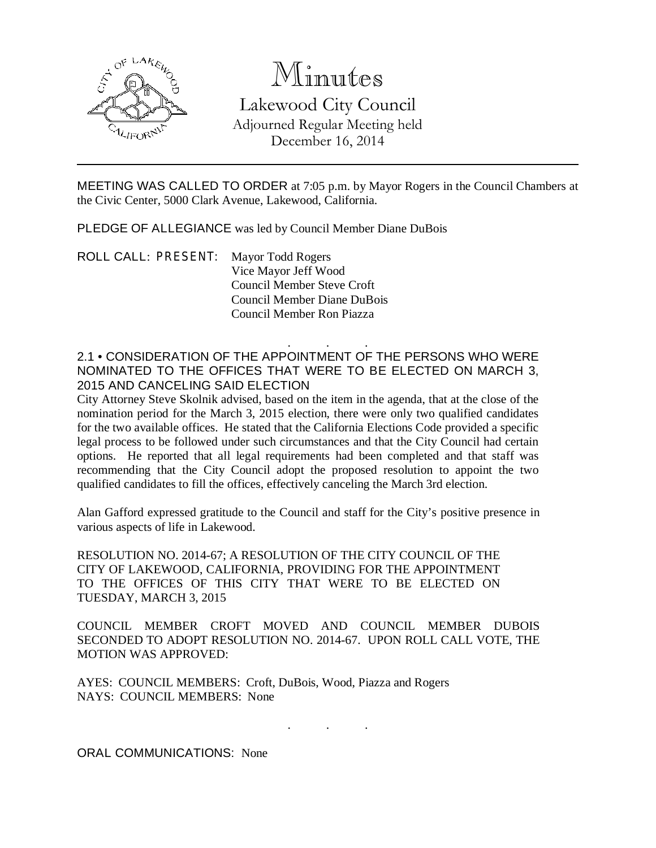

## Minutes

Lakewood City Council Adjourned Regular Meeting held December 16, 2014

MEETING WAS CALLED TO ORDER at 7:05 p.m. by Mayor Rogers in the Council Chambers at the Civic Center, 5000 Clark Avenue, Lakewood, California.

PLEDGE OF ALLEGIANCE was led by Council Member Diane DuBois

ROLL CALL: PRESENT: Mayor Todd Rogers Vice Mayor Jeff Wood Council Member Steve Croft Council Member Diane DuBois Council Member Ron Piazza

. . . 2.1 • CONSIDERATION OF THE APPOINTMENT OF THE PERSONS WHO WERE NOMINATED TO THE OFFICES THAT WERE TO BE ELECTED ON MARCH 3, 2015 AND CANCELING SAID ELECTION

City Attorney Steve Skolnik advised, based on the item in the agenda, that at the close of the nomination period for the March 3, 2015 election, there were only two qualified candidates for the two available offices. He stated that the California Elections Code provided a specific legal process to be followed under such circumstances and that the City Council had certain options. He reported that all legal requirements had been completed and that staff was recommending that the City Council adopt the proposed resolution to appoint the two qualified candidates to fill the offices, effectively canceling the March 3rd election.

Alan Gafford expressed gratitude to the Council and staff for the City's positive presence in various aspects of life in Lakewood.

RESOLUTION NO. 2014-67; A RESOLUTION OF THE CITY COUNCIL OF THE CITY OF LAKEWOOD, CALIFORNIA, PROVIDING FOR THE APPOINTMENT TO THE OFFICES OF THIS CITY THAT WERE TO BE ELECTED ON TUESDAY, MARCH 3, 2015

COUNCIL MEMBER CROFT MOVED AND COUNCIL MEMBER DUBOIS SECONDED TO ADOPT RESOLUTION NO. 2014-67. UPON ROLL CALL VOTE, THE MOTION WAS APPROVED:

AYES: COUNCIL MEMBERS: Croft, DuBois, Wood, Piazza and Rogers NAYS: COUNCIL MEMBERS: None

. . .

ORAL COMMUNICATIONS: None